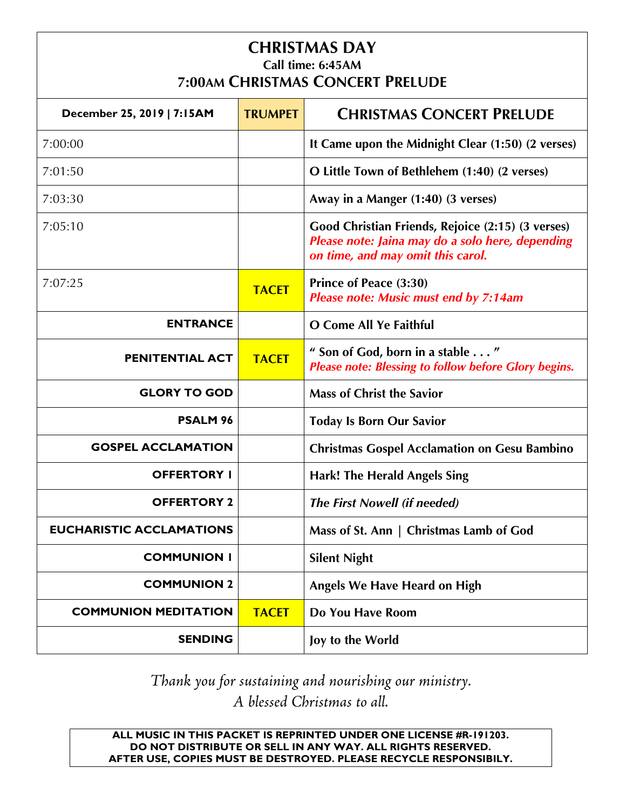#### **CHRISTMAS DAY Call time: 6:45AM 7:00AM CHRISTMAS CONCERT PRELUDE**

| December 25, 2019   7:15AM      | <b>TRUMPET</b> | <b>CHRISTMAS CONCERT PRELUDE</b>                                                                                                           |
|---------------------------------|----------------|--------------------------------------------------------------------------------------------------------------------------------------------|
| 7:00:00                         |                | It Came upon the Midnight Clear (1:50) (2 verses)                                                                                          |
| 7:01:50                         |                | O Little Town of Bethlehem (1:40) (2 verses)                                                                                               |
| 7:03:30                         |                | Away in a Manger (1:40) (3 verses)                                                                                                         |
| 7:05:10                         |                | Good Christian Friends, Rejoice (2:15) (3 verses)<br>Please note: Jaina may do a solo here, depending<br>on time, and may omit this carol. |
| 7:07:25                         | <b>TACET</b>   | Prince of Peace (3:30)<br><b>Please note: Music must end by 7:14am</b>                                                                     |
| <b>ENTRANCE</b>                 |                | O Come All Ye Faithful                                                                                                                     |
| PENITENTIAL ACT                 | <b>TACET</b>   | " Son of God, born in a stable "<br><b>Please note: Blessing to follow before Glory begins.</b>                                            |
| <b>GLORY TO GOD</b>             |                | <b>Mass of Christ the Savior</b>                                                                                                           |
| <b>PSALM 96</b>                 |                | <b>Today Is Born Our Savior</b>                                                                                                            |
| <b>GOSPEL ACCLAMATION</b>       |                | <b>Christmas Gospel Acclamation on Gesu Bambino</b>                                                                                        |
| <b>OFFERTORY I</b>              |                | <b>Hark! The Herald Angels Sing</b>                                                                                                        |
| <b>OFFERTORY 2</b>              |                | <b>The First Nowell (if needed)</b>                                                                                                        |
| <b>EUCHARISTIC ACCLAMATIONS</b> |                | Mass of St. Ann   Christmas Lamb of God                                                                                                    |
| <b>COMMUNION I</b>              |                | <b>Silent Night</b>                                                                                                                        |
| <b>COMMUNION 2</b>              |                | <b>Angels We Have Heard on High</b>                                                                                                        |
| <b>COMMUNION MEDITATION</b>     | <b>TACET</b>   | Do You Have Room                                                                                                                           |
| <b>SENDING</b>                  |                | Joy to the World                                                                                                                           |

*Thank you for sustaining and nourishing our ministry. A blessed Christmas to all.*

**ALL MUSIC IN THIS PACKET IS REPRINTED UNDER ONE LICENSE #R-191203. DO NOT DISTRIBUTE OR SELL IN ANY WAY. ALL RIGHTS RESERVED. AFTER USE, COPIES MUST BE DESTROYED. PLEASE RECYCLE RESPONSIBILY.**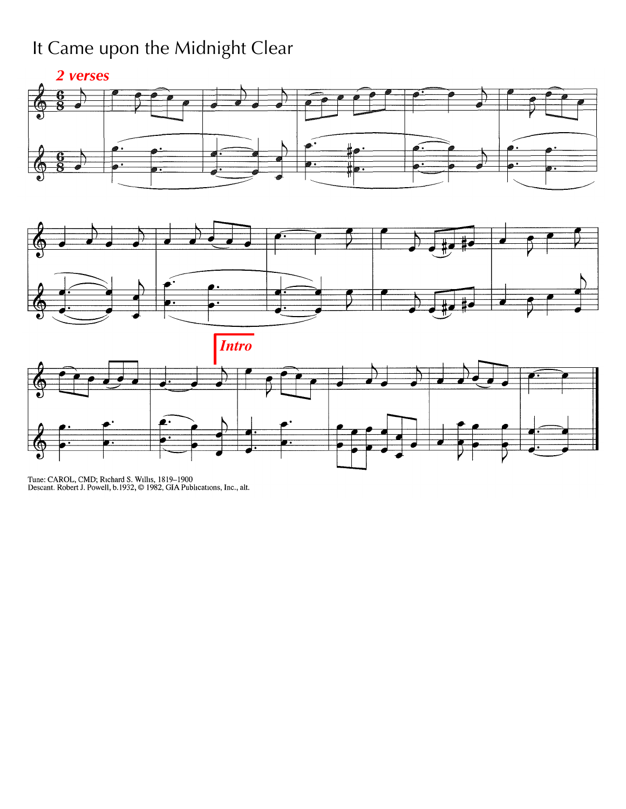## It Came upon the Midnight Clear





*Intro*



Tune: CAROL, CMD; Richard S. Willis, 1819--1900<br>Descant. Robert J. Powell, b.1932, © 1982, GIA Publications, Inc., alt.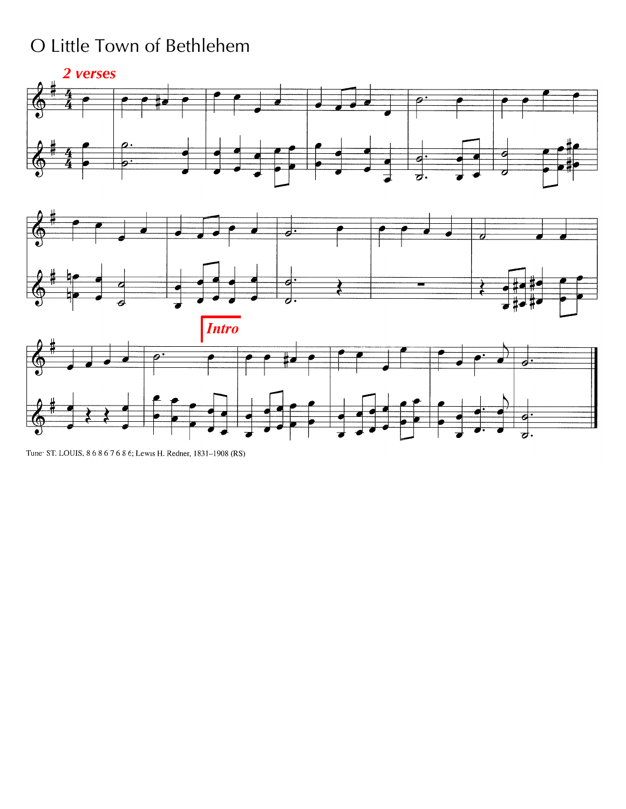### O Little Town of Bethlehem



Tune: ST. LOUIS, 8 6 8 6 7 6 8 6; Lewis H. Redner, 1831-1908 (RS)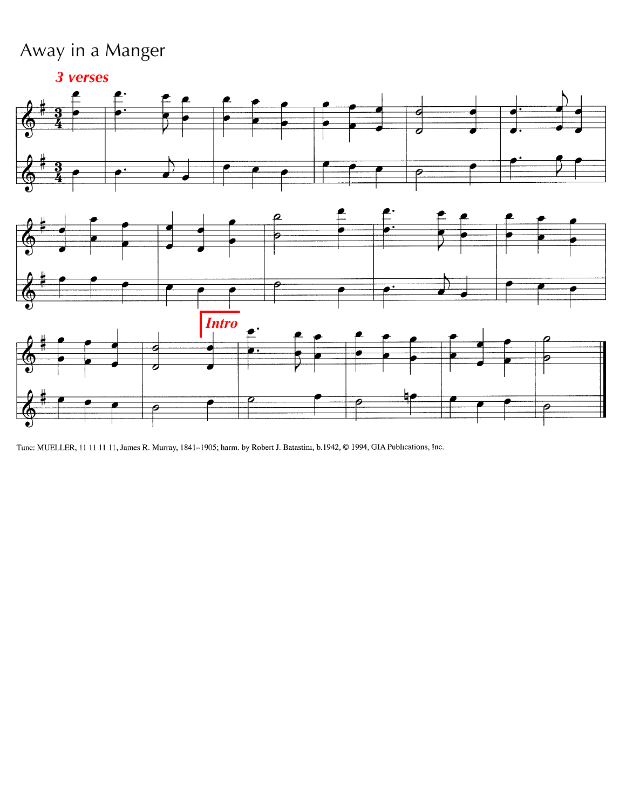### Away in a Manger



Tune: MUELLER, 11 11 11 11, James R. Murray, 1841-1905; harm. by Robert J. Batastini, b.1942, © 1994, GIA Publications, Inc.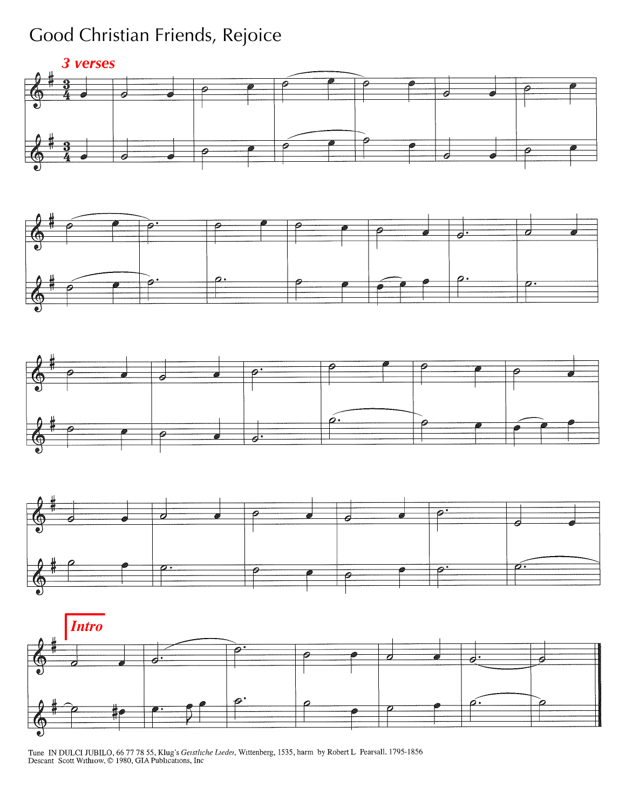### Good Christian Friends, Rejoice











Tune IN DULCI JUBILO, 66 77 78 55, Klug's Getstliche Lieder, Wittenberg, 1535, harm by Robert L Pearsall, 1795-1856<br>Descant Scott Withiow, © 1980, GIA Publications, Inc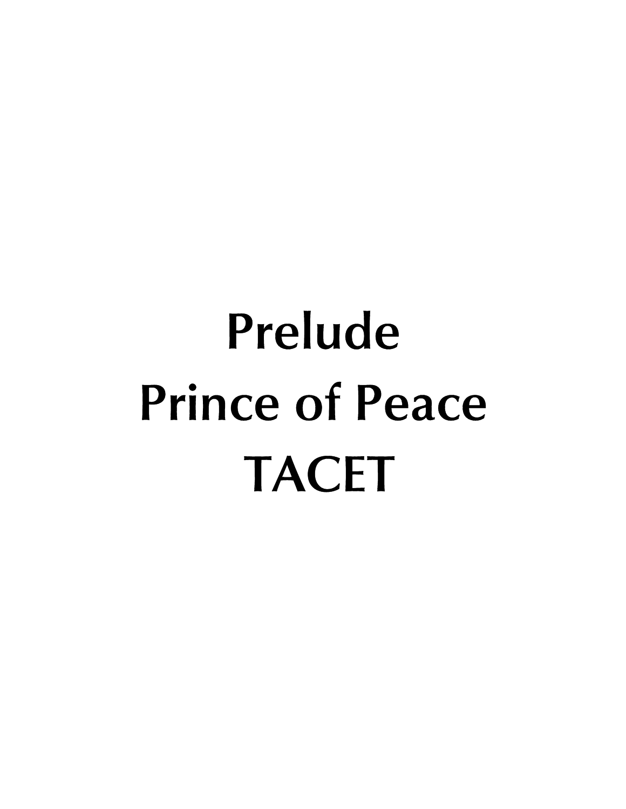# **Prelude Prince of Peace TACET**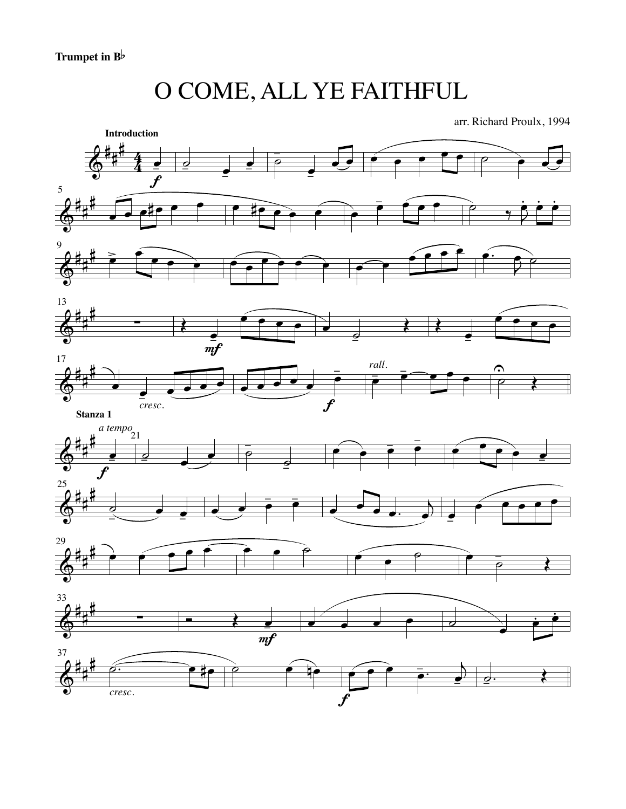O COME, ALL YE FAITHFUL

arr. Richard Proulx, 1994

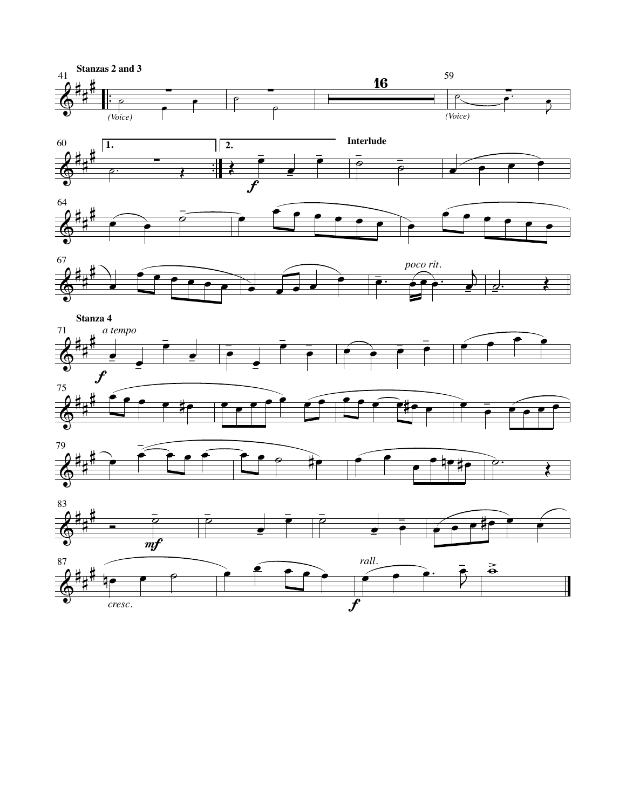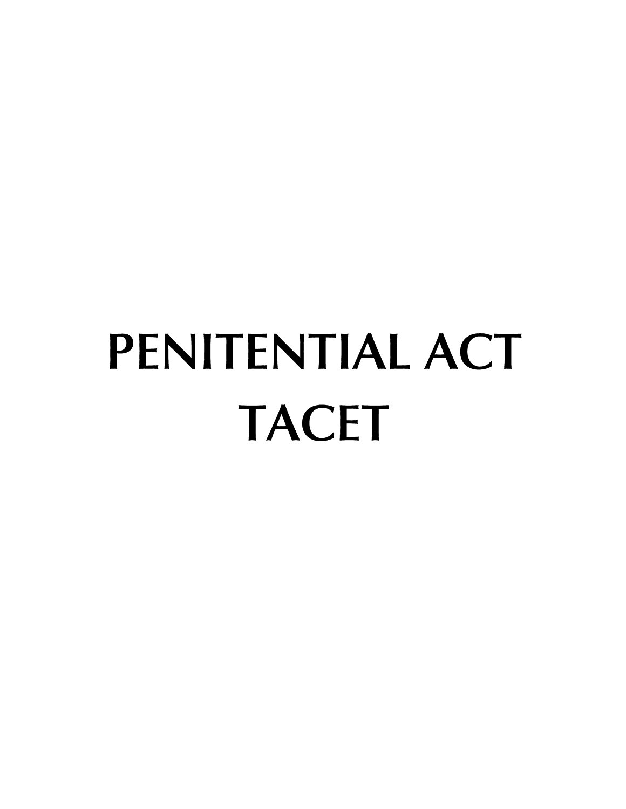# **PENITENTIAL ACT TACET**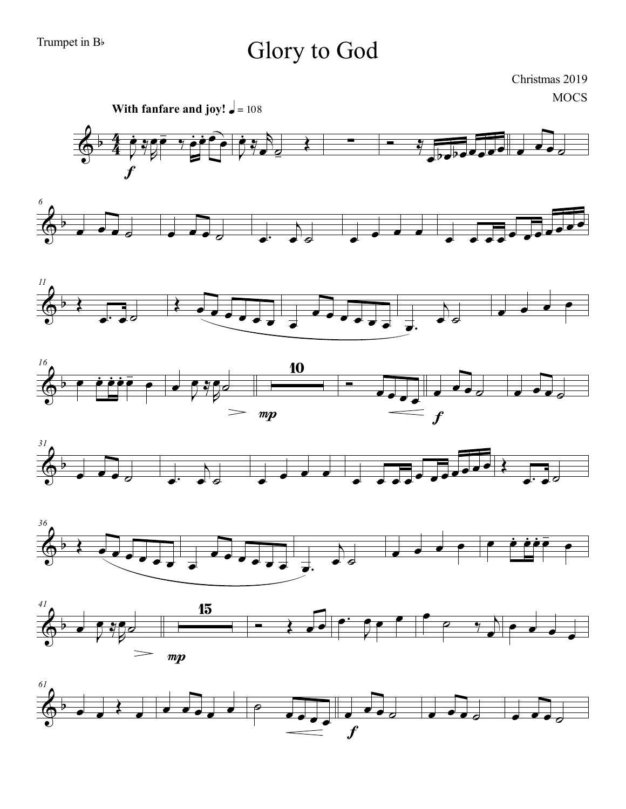Trumpet in B<sub>b</sub>

## Glory to God

Christmas 2019

**MOCS** 









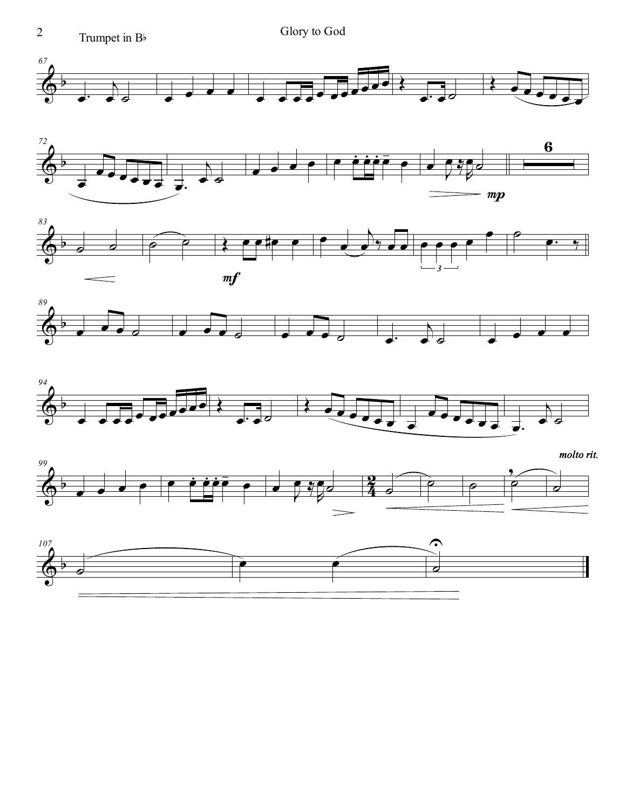









 $molto$  rit.



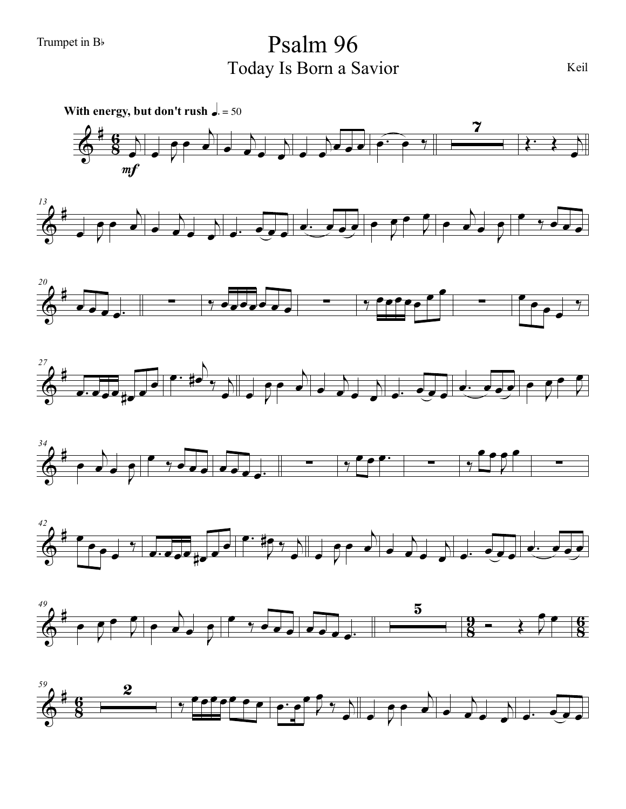Trumpet in B<sup>b</sup> Psalm 96 Today Is Born a Savior

 $\Phi$ ∀  $\frac{6}{8}$   $\rightarrow$ œ **With energy, but don't rush**  $\sqrt{a} = 50$  $m f$  $\overline{\phantom{a}}$  $\overline{\bullet}$ ι  $\bullet$ œ œ ι  $\begin{array}{c} \hline \hline \hline \hline \hline \end{array}$ ι œ <sup>œ</sup> <sup>œ</sup> <sup>œ</sup> <sup>œ</sup><sup>−</sup> œ ‰  $\overline{\mathbf{z}}$  $\begin{array}{ccc} \cdot & \cdot & \cdot \\ \cdot & \cdot & \cdot \end{array}$ œ  $\Phi$ ∀ *13*  $\overline{\phantom{a}}$  $\overline{\mathbf{e}\,\mathbf{e}}$ ι  $\bullet$ œ œ ι œ œ− œ œ œ œ œ − œ œ œ Ι  $\begin{pmatrix} 0 & 1 \ 0 & 1 \end{pmatrix}$  $\frac{1}{2}$  $\downarrow$  $\rightarrow$  $\bullet$   $\bullet$   $\bullet$   $\bullet$  $\Phi$ ∀ *20* œ œ œ œ− <sup>∑</sup> ‰ œœœœœ <sup>œ</sup> <sup>œ</sup> ∑ ‰ œœœœœ œ œ ∑ œ œ œ œ ‰  $\Phi$ ∀ *27* ∞∞∞≠∞ ι  $\sharp \bullet \rightarrow \searrow$  $\rightarrow$  $\frac{1}{\sqrt{2}}$ ι  $\overrightarrow{c}$ p e e e e e e e e e **β** œ  $\Phi$ ∀ *34* œ  $\downarrow$  $\rightarrow$ <u>e ∵ececee,</u> — √ ° ° ° ∞ ∞ ∞ œ œ Ι œ œ ∑  $\Phi$ ∀ *42* œ œ œ œ y<br>∽e∙ee‡e Ι  $^{\sharp}$  ,  $^{\sharp}$  $\rightarrow$  $\overline{e}$ ι  $\bullet$ o e e e e e e  $\Phi$ ∀  $\frac{9}{8}$ <u>ց</u> **g** <u>գ</u> *49* œ Ι  $\bullet$   $\bullet$   $\bullet$ œ œ  $\nvdash$  $\rightarrow$ œ œ ‰ œ <sup>œ</sup> <sup>œ</sup> <sup>œ</sup> <sup>œ</sup> <sup>œ</sup> <sup>œ</sup><sup>−</sup>  $\overline{\mathbf{5}}$  $\overrightarrow{z}$ œ œ

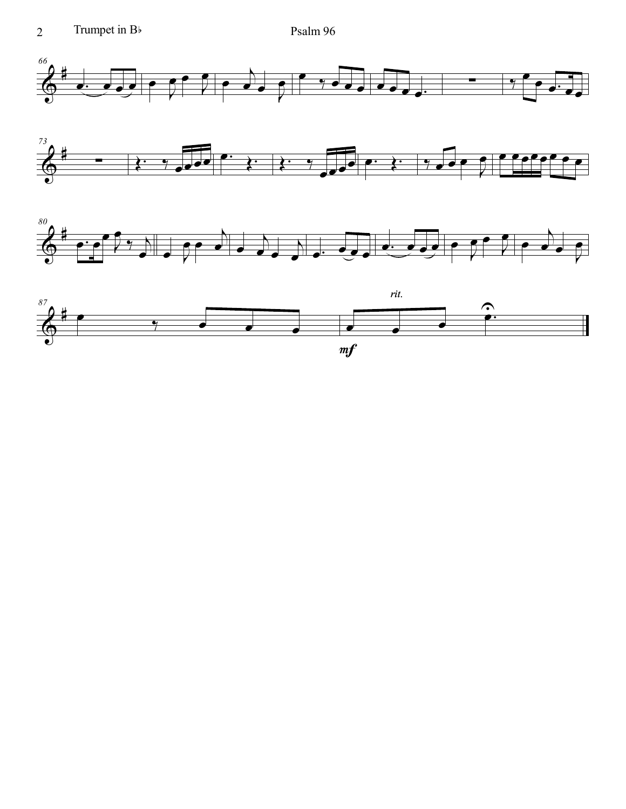





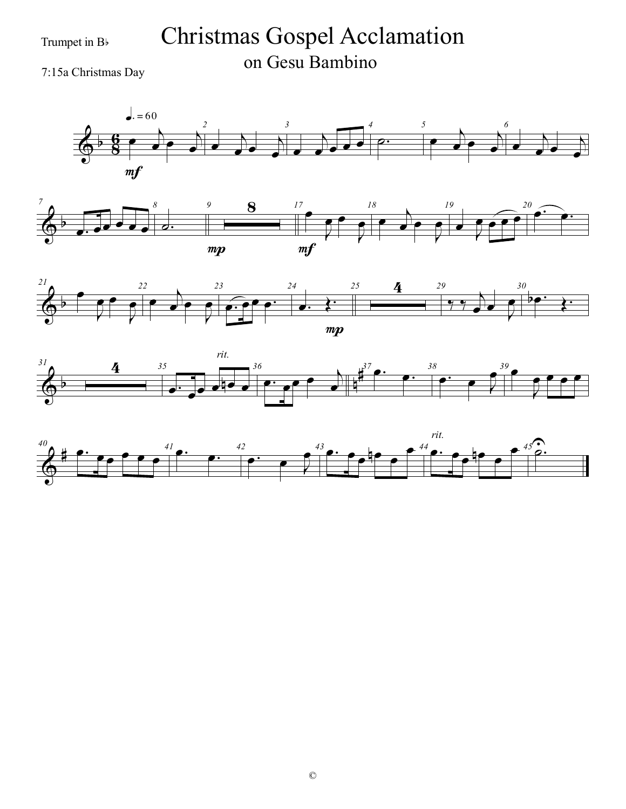Trumpet in  $B$ <sup>b</sup>

# Christmas Gospel Acclamation on Gesu Bambino <sup>7</sup>:15a Christmas Day









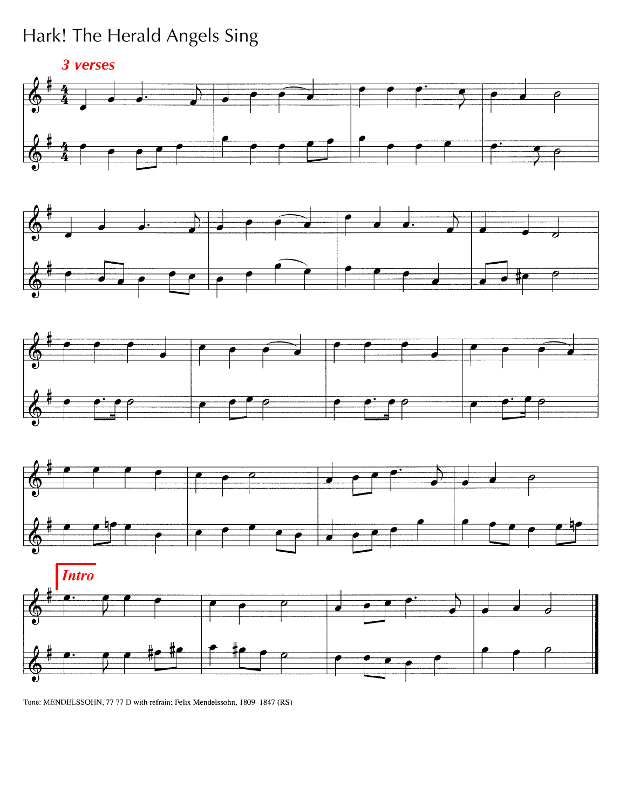### Hark! The Herald Angels Sing











Tune: MENDELSSOHN, 77 77 D with refrain; Felix Mendelssohn, 1809-1847 (RS)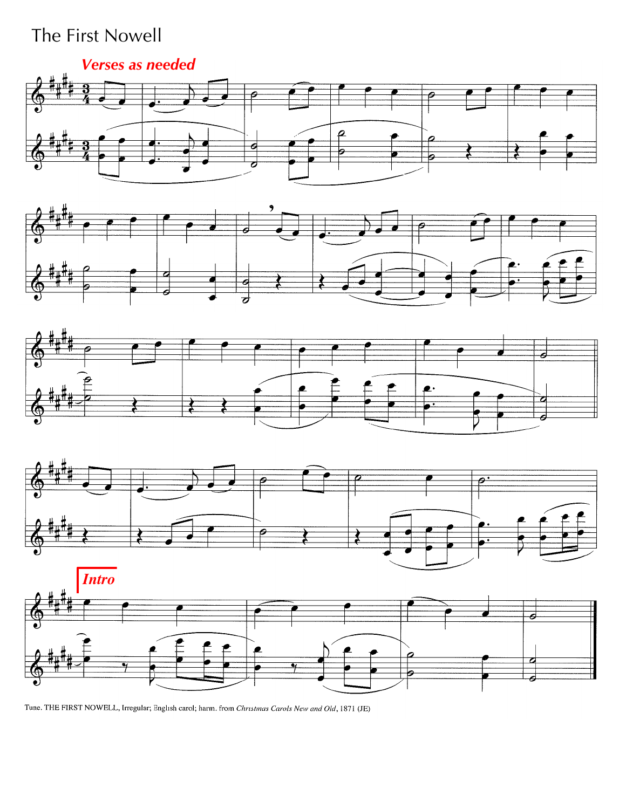### The First Nowell

#### *Verses as needed*











Tune. THE FIRST NOWELL, Irregular; English carol; harm. from Christmas Carols New and Old, 1871 (JE)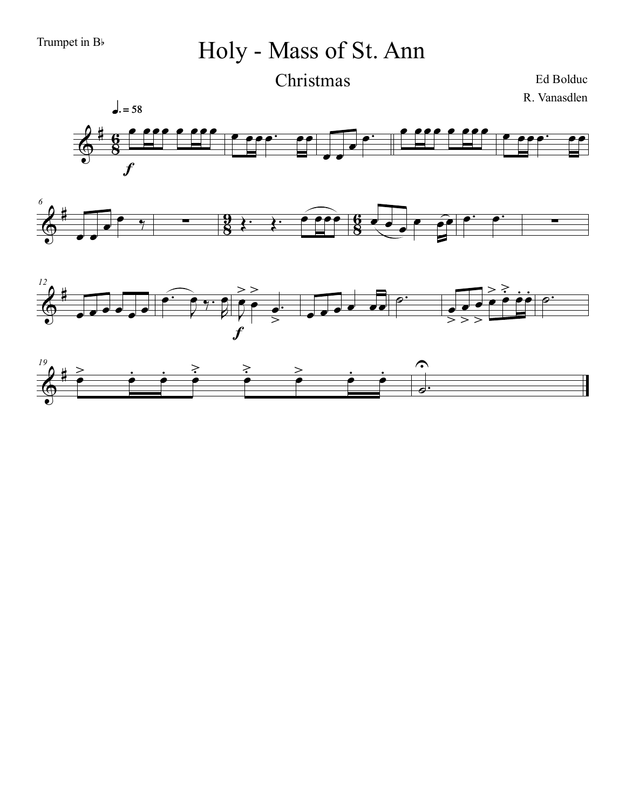*6*

œ œ

# Holy - Mass of St. Ann Christmas

Ed Bolduc R. Vanasdlen





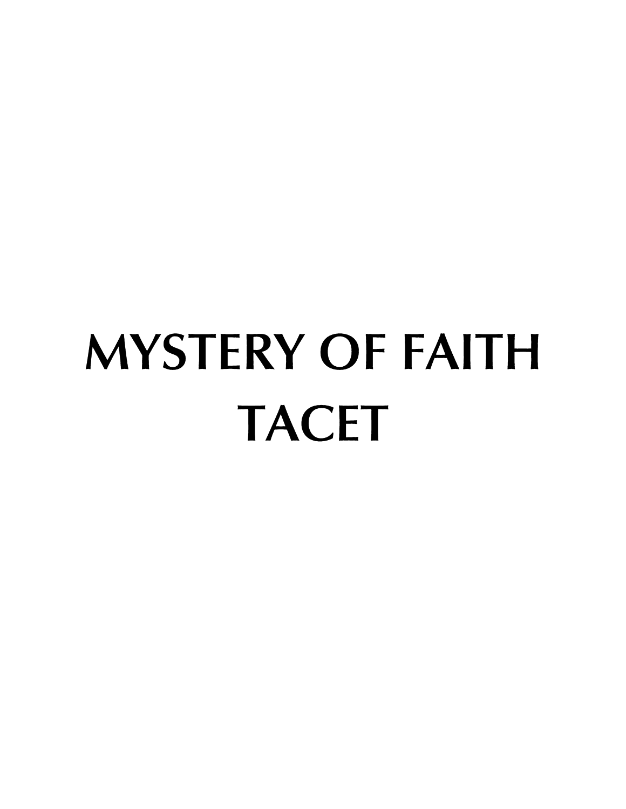# **MYSTERY OF FAITH TACET**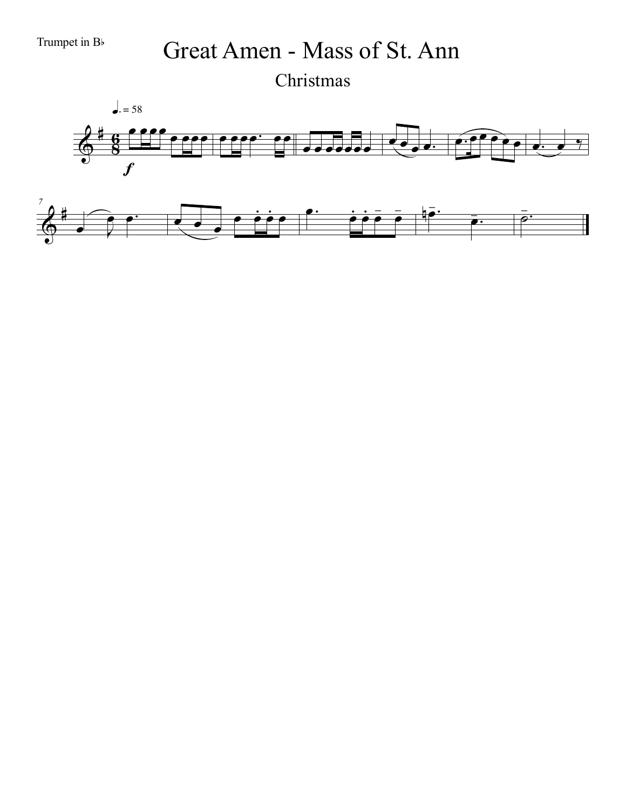Trumpet in B<sub>b</sub> Great Amen - Mass of St. Ann Christmas

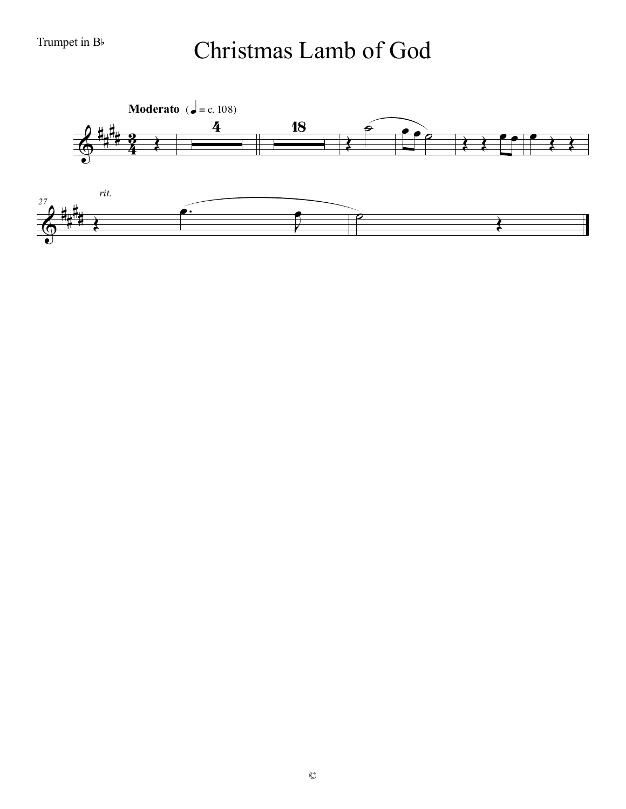#### Trumpet in  $B$ <sup>b</sup>

# Christmas Lamb of God

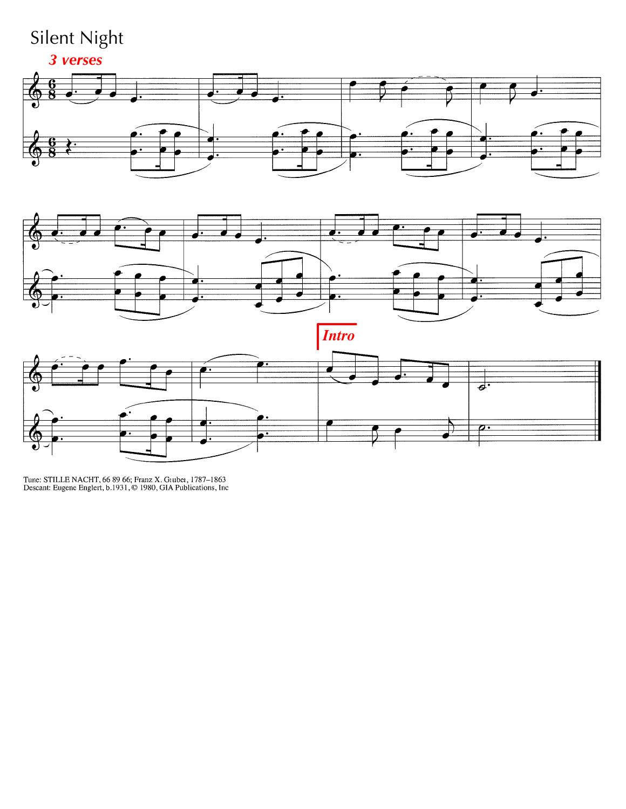# Silent Night







Tune: STILLE NACHT, 66 89 66; Franz X. Gruber, 1787-1863<br>Descant: Eugene Englert, b.1931, © 1980, GIA Publications, Inc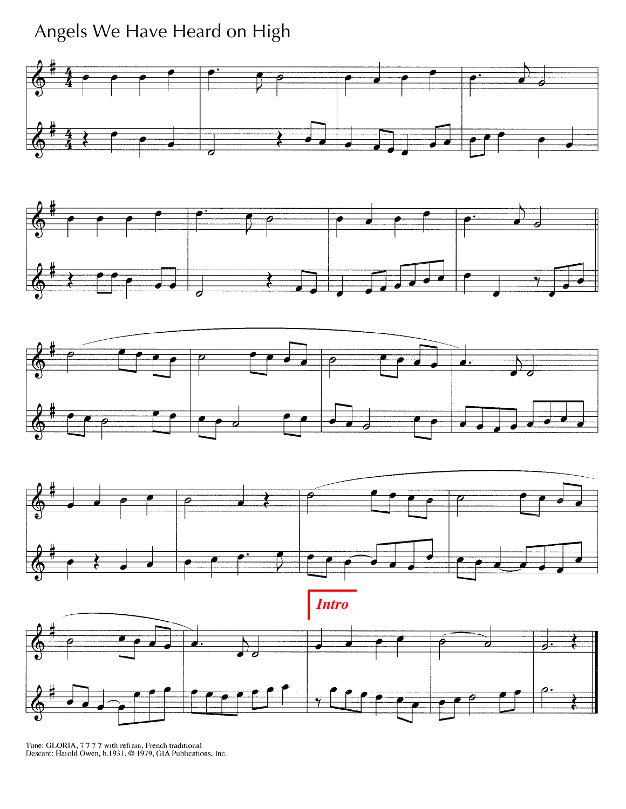Angels We Have Heard on High









*Intro*



Tune: GLORIA, 7777 with refiain, French traditional Descant: Haiold Owen, b.1931, © 1979, GIA Publications, Inc.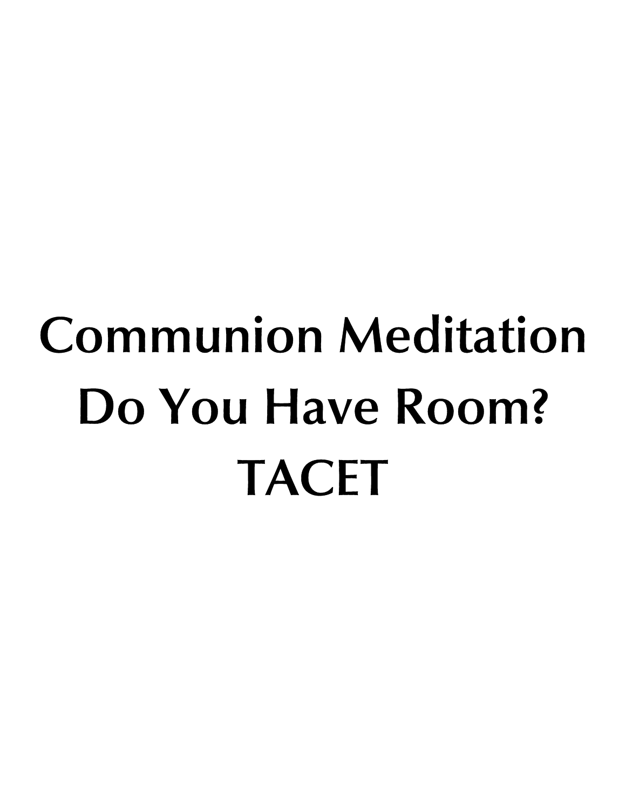# **Communion Meditation Do You Have Room? TACET**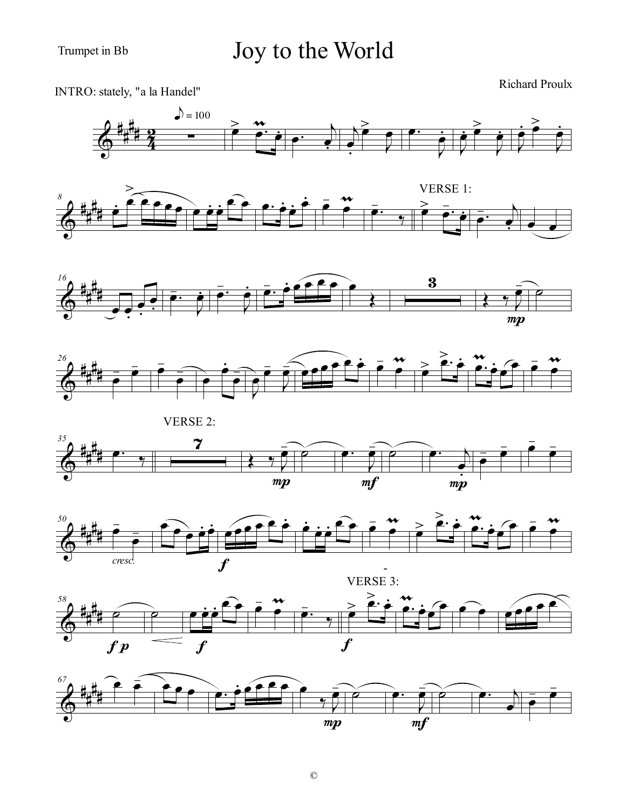#### Trumpet in Bb

# Joy to the World



 $mp$ 

 $m f$